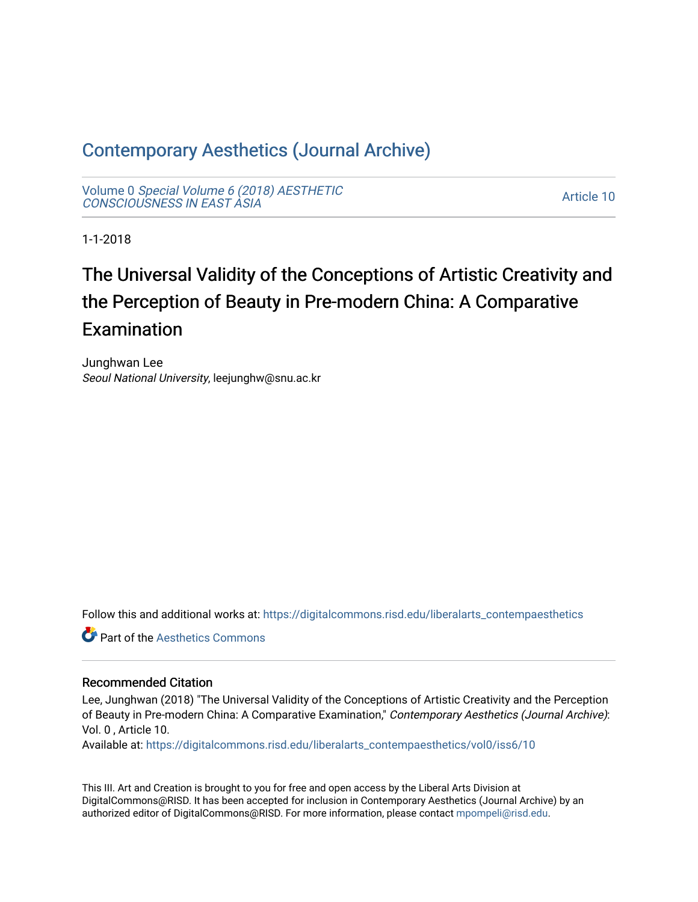### [Contemporary Aesthetics \(Journal Archive\)](https://digitalcommons.risd.edu/liberalarts_contempaesthetics)

Volume 0 [Special Volume 6 \(2018\) AESTHETIC](https://digitalcommons.risd.edu/liberalarts_contempaesthetics/vol0) [CONSCIOUSNESS IN EAST ASIA](https://digitalcommons.risd.edu/liberalarts_contempaesthetics/vol0)

[Article 10](https://digitalcommons.risd.edu/liberalarts_contempaesthetics/vol0/iss6/10) 

1-1-2018

## The Universal Validity of the Conceptions of Artistic Creativity and the Perception of Beauty in Pre-modern China: A Comparative Examination

Junghwan Lee Seoul National University, leejunghw@snu.ac.kr

Follow this and additional works at: [https://digitalcommons.risd.edu/liberalarts\\_contempaesthetics](https://digitalcommons.risd.edu/liberalarts_contempaesthetics?utm_source=digitalcommons.risd.edu%2Fliberalarts_contempaesthetics%2Fvol0%2Fiss6%2F10&utm_medium=PDF&utm_campaign=PDFCoverPages) 

**C** Part of the Aesthetics Commons

#### Recommended Citation

Lee, Junghwan (2018) "The Universal Validity of the Conceptions of Artistic Creativity and the Perception of Beauty in Pre-modern China: A Comparative Examination," Contemporary Aesthetics (Journal Archive): Vol. 0 , Article 10.

Available at: [https://digitalcommons.risd.edu/liberalarts\\_contempaesthetics/vol0/iss6/10](https://digitalcommons.risd.edu/liberalarts_contempaesthetics/vol0/iss6/10?utm_source=digitalcommons.risd.edu%2Fliberalarts_contempaesthetics%2Fvol0%2Fiss6%2F10&utm_medium=PDF&utm_campaign=PDFCoverPages) 

This III. Art and Creation is brought to you for free and open access by the Liberal Arts Division at DigitalCommons@RISD. It has been accepted for inclusion in Contemporary Aesthetics (Journal Archive) by an authorized editor of DigitalCommons@RISD. For more information, please contact [mpompeli@risd.edu.](mailto:mpompeli@risd.edu)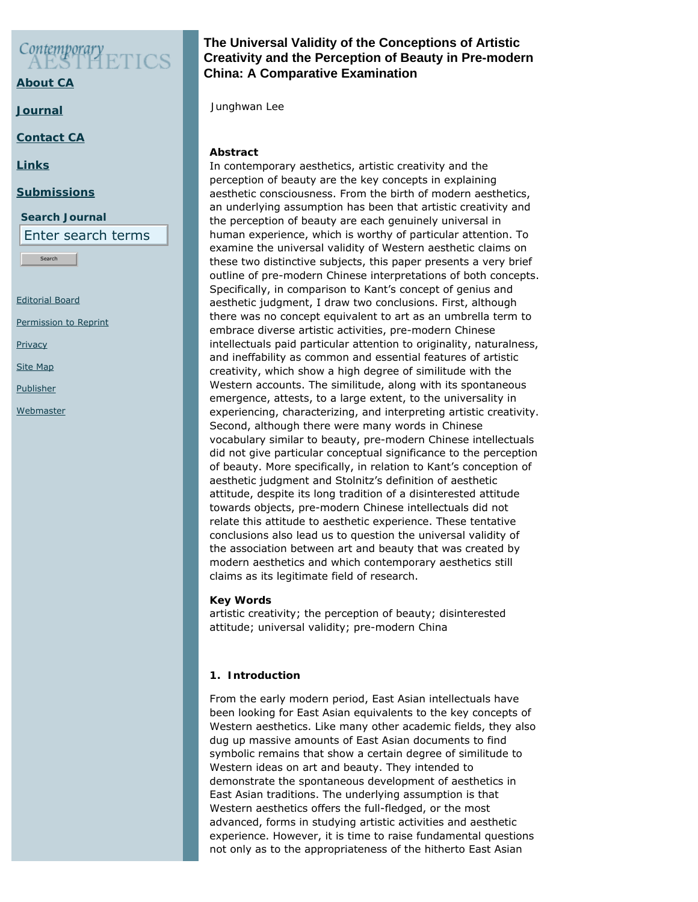# Contemporary

**[About CA](https://www.contempaesthetics.org/pages/about.html)**

**[Journal](https://www.contempaesthetics.org/newvolume/pages/journal.php)**

**[Contact CA](https://www.contempaesthetics.org/pages/contact.html)**

**[Links](https://www.contempaesthetics.org/pages/links.html)**

#### **[Submissions](https://www.contempaesthetics.org/pages/guidelines.html)**

**Search Journal** Enter search terms

Search

[Editorial Board](https://www.contempaesthetics.org/pages/editorialboard.html)

[Permission to Reprint](https://www.contempaesthetics.org/pages/reprint.html)

**[Privacy](https://www.contempaesthetics.org/pages/privacy.html)** 

[Site Map](https://www.contempaesthetics.org/pages/sitemap.html)

**[Publisher](https://www.contempaesthetics.org/pages/publisher.html)** 

**[Webmaster](mailto:webmaster@contempaesthetics.org)** 

#### **The Universal Validity of the Conceptions of Artistic Creativity and the Perception of Beauty in Pre-modern China: A Comparative Examination**

 *Junghwan Lee*

#### **Abstract**

In contemporary aesthetics, artistic creativity and the perception of beauty are the key concepts in explaining aesthetic consciousness. From the birth of modern aesthetics, an underlying assumption has been that artistic creativity and the perception of beauty are each genuinely universal in human experience, which is worthy of particular attention. To examine the universal validity of Western aesthetic claims on these two distinctive subjects, this paper presents a very brief outline of pre-modern Chinese interpretations of both concepts. Specifically, in comparison to Kant's concept of genius and aesthetic judgment, I draw two conclusions. First, although there was no concept equivalent to art as an umbrella term to embrace diverse artistic activities, pre-modern Chinese intellectuals paid particular attention to originality, naturalness, and ineffability as common and essential features of artistic creativity, which show a high degree of similitude with the Western accounts. The similitude, along with its spontaneous emergence, attests, to a large extent, to the universality in experiencing, characterizing, and interpreting artistic creativity. Second, although there were many words in Chinese vocabulary similar to beauty, pre-modern Chinese intellectuals did not give particular conceptual significance to the perception of beauty. More specifically, in relation to Kant's conception of aesthetic judgment and Stolnitz's definition of aesthetic attitude, despite its long tradition of a disinterested attitude towards objects, pre-modern Chinese intellectuals did not relate this attitude to aesthetic experience. These tentative conclusions also lead us to question the universal validity of the association between art and beauty that was created by modern aesthetics and which contemporary aesthetics still claims as its legitimate field of research.

#### **Key Words**

artistic creativity; the perception of beauty; disinterested attitude; universal validity; pre-modern China

#### **1. Introduction**

From the early modern period, East Asian intellectuals have been looking for East Asian equivalents to the key concepts of Western aesthetics. Like many other academic fields, they also dug up massive amounts of East Asian documents to find symbolic remains that show a certain degree of similitude to Western ideas on art and beauty. They intended to demonstrate the spontaneous development of aesthetics in East Asian traditions. The underlying assumption is that Western aesthetics offers the full-fledged, or the most advanced, forms in studying artistic activities and aesthetic experience. However, it is time to raise fundamental questions not only as to the appropriateness of the hitherto East Asian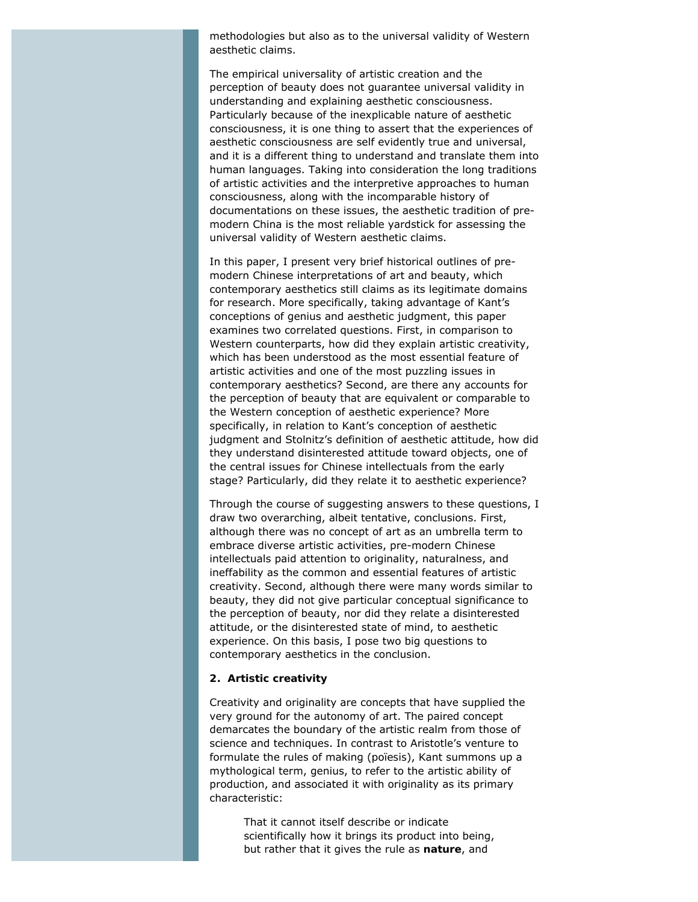methodologies but also as to the universal validity of Western aesthetic claims.

The empirical universality of artistic creation and the perception of beauty does not guarantee universal validity in understanding and explaining aesthetic consciousness. Particularly because of the inexplicable nature of aesthetic consciousness, it is one thing to assert that the experiences of aesthetic consciousness are self evidently true and universal, and it is a different thing to understand and translate them into human languages. Taking into consideration the long traditions of artistic activities and the interpretive approaches to human consciousness, along with the incomparable history of documentations on these issues, the aesthetic tradition of premodern China is the most reliable yardstick for assessing the universal validity of Western aesthetic claims.

In this paper, I present very brief historical outlines of premodern Chinese interpretations of art and beauty, which contemporary aesthetics still claims as its legitimate domains for research. More specifically, taking advantage of Kant's conceptions of genius and aesthetic judgment, this paper examines two correlated questions. First, in comparison to Western counterparts, how did they explain artistic creativity, which has been understood as the most essential feature of artistic activities and one of the most puzzling issues in contemporary aesthetics? Second, are there any accounts for the perception of beauty that are equivalent or comparable to the Western conception of aesthetic experience? More specifically, in relation to Kant's conception of aesthetic judgment and Stolnitz's definition of aesthetic attitude, how did they understand disinterested attitude toward objects, one of the central issues for Chinese intellectuals from the early stage? Particularly, did they relate it to aesthetic experience?

Through the course of suggesting answers to these questions, I draw two overarching, albeit tentative, conclusions. First, although there was no concept of art as an umbrella term to embrace diverse artistic activities, pre-modern Chinese intellectuals paid attention to originality, naturalness, and ineffability as the common and essential features of artistic creativity. Second, although there were many words similar to beauty, they did not give particular conceptual significance to the perception of beauty, nor did they relate a disinterested attitude, or the disinterested state of mind, to aesthetic experience. On this basis, I pose two big questions to contemporary aesthetics in the conclusion.

#### **2. Artistic creativity**

Creativity and originality are concepts that have supplied the very ground for the autonomy of art. The paired concept demarcates the boundary of the artistic realm from those of science and techniques. In contrast to Aristotle's venture to formulate the rules of making (*poïesis*), Kant summons up a mythological term, genius, to refer to the artistic ability of production, and associated it with originality as its primary characteristic:

> That it cannot itself describe or indicate scientifically how it brings its product into being, but rather that it gives the rule as **nature**, and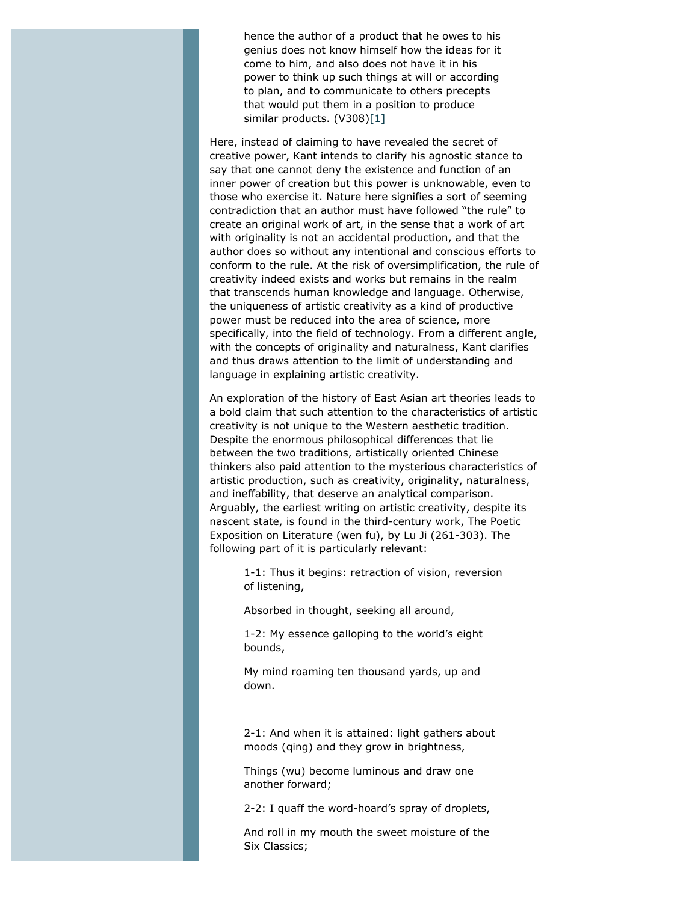hence the author of a product that he owes to his genius does not know himself how the ideas for it come to him, and also does not have it in his power to think up such things at will or according to plan, and to communicate to others precepts that would put them in a position to produce similar products. (V308[\)\[1\]](#page-12-0)

<span id="page-3-0"></span>Here, instead of claiming to have revealed the secret of creative power, Kant intends to clarify his agnostic stance to say that one cannot deny the existence and function of an inner power of creation but this power is unknowable, even to those who exercise it. Nature here signifies a sort of seeming contradiction that an author must have followed "the rule" to create an original work of art, in the sense that a work of art with originality is not an accidental production, and that the author does so without any intentional and conscious efforts to conform to the rule. At the risk of oversimplification, the rule of creativity indeed exists and works but remains in the realm that transcends human knowledge and language. Otherwise, the uniqueness of artistic creativity as a kind of productive power must be reduced into the area of science, more specifically, into the field of technology. From a different angle, with the concepts of originality and naturalness, Kant clarifies and thus draws attention to the limit of understanding and language in explaining artistic creativity.

An exploration of the history of East Asian art theories leads to a bold claim that such attention to the characteristics of artistic creativity is not unique to the Western aesthetic tradition. Despite the enormous philosophical differences that lie between the two traditions, artistically oriented Chinese thinkers also paid attention to the mysterious characteristics of artistic production, such as creativity, originality, naturalness, and ineffability, that deserve an analytical comparison. Arguably, the earliest writing on artistic creativity, despite its nascent state, is found in the third-century work, *The Poetic Exposition on Literature* (*wen fu*), by Lu Ji (261-303). The following part of it is particularly relevant:

> 1-1: Thus it begins: retraction of vision, reversion of listening,

Absorbed in thought, seeking all around,

1-2: My essence galloping to the world's eight bounds,

My mind roaming ten thousand yards, up and down.

2-1: And when it is attained: light gathers about moods (*qing*) and they grow in brightness,

Things (*wu*) become luminous and draw one another forward;

2-2: I quaff the word-hoard's spray of droplets,

And roll in my mouth the sweet moisture of the Six Classics;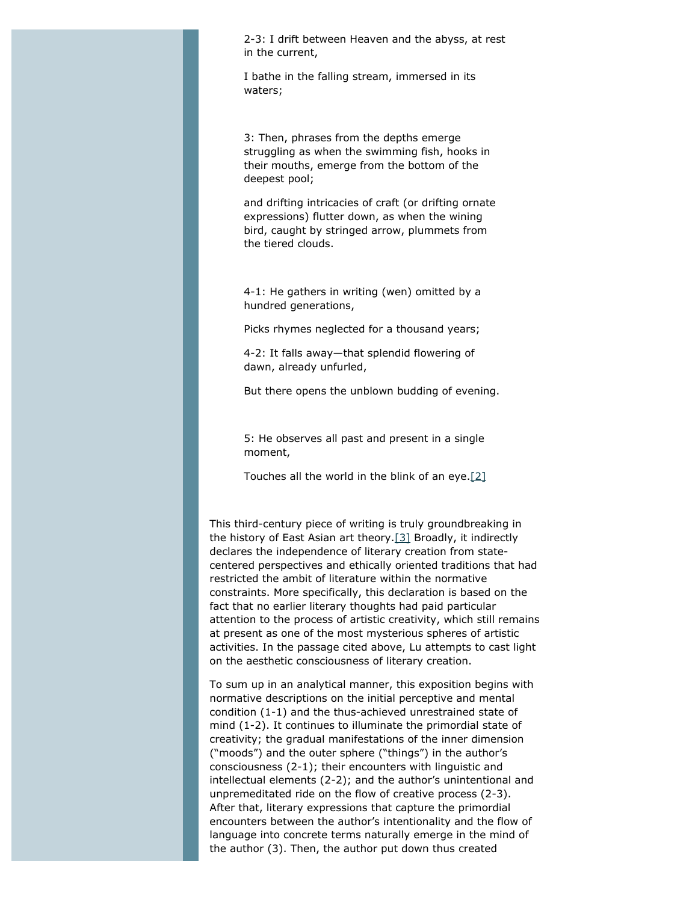2-3: I drift between Heaven and the abyss, at rest in the current,

I bathe in the falling stream, immersed in its waters;

3: Then, phrases from the depths emerge struggling as when the swimming fish, hooks in their mouths, emerge from the bottom of the deepest pool;

and drifting intricacies of craft (or drifting ornate expressions) flutter down, as when the wining bird, caught by stringed arrow, plummets from the tiered clouds.

4-1: He gathers in writing (*wen*) omitted by a hundred generations,

Picks rhymes neglected for a thousand years;

4-2: It falls away—that splendid flowering of dawn, already unfurled,

But there opens the unblown budding of evening.

5: He observes all past and present in a single moment,

Touches all the world in the blink of an eye[.\[2\]](#page-12-1)

<span id="page-4-1"></span><span id="page-4-0"></span>This third-century piece of writing is truly groundbreaking in the history of East Asian art theory[.\[3\]](#page-12-2) Broadly, it indirectly declares the independence of literary creation from statecentered perspectives and ethically oriented traditions that had restricted the ambit of literature within the normative constraints. More specifically, this declaration is based on the fact that no earlier literary thoughts had paid particular attention to the process of artistic creativity, which still remains at present as one of the most mysterious spheres of artistic activities. In the passage cited above, Lu attempts to cast light on the aesthetic consciousness of literary creation.

To sum up in an analytical manner, this exposition begins with normative descriptions on the initial perceptive and mental condition (1-1) and the thus-achieved unrestrained state of mind (1-2). It continues to illuminate the primordial state of creativity; the gradual manifestations of the inner dimension ("moods") and the outer sphere ("things") in the author's consciousness (2-1); their encounters with linguistic and intellectual elements (2-2); and the author's unintentional and unpremeditated ride on the flow of creative process (2-3). After that, literary expressions that capture the primordial encounters between the author's intentionality and the flow of language into concrete terms naturally emerge in the mind of the author (3). Then, the author put down thus created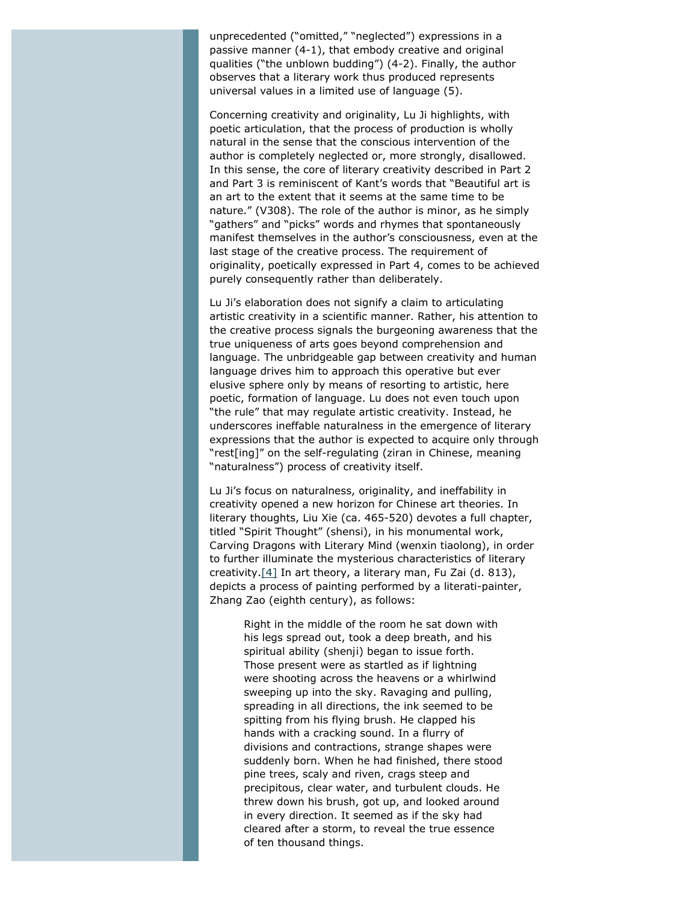unprecedented ("omitted," "neglected") expressions in a passive manner (4-1), that embody creative and original qualities ("the unblown budding") (4-2). Finally, the author observes that a literary work thus produced represents universal values in a limited use of language (5).

Concerning creativity and originality, Lu Ji highlights, with poetic articulation, that the process of production is wholly natural in the sense that the conscious intervention of the author is completely neglected or, more strongly, disallowed. In this sense, the core of literary creativity described in Part 2 and Part 3 is reminiscent of Kant's words that "Beautiful art is an art to the extent that it seems at the same time to be nature." (V308). The role of the author is minor, as he simply "gathers" and "picks" words and rhymes that spontaneously manifest themselves in the author's consciousness, even at the last stage of the creative process. The requirement of originality, poetically expressed in Part 4, comes to be achieved purely consequently rather than deliberately.

Lu Ji's elaboration does not signify a claim to articulating artistic creativity in a scientific manner. Rather, his attention to the creative process signals the burgeoning awareness that the true uniqueness of arts goes beyond comprehension and language. The unbridgeable gap between creativity and human language drives him to approach this operative but ever elusive sphere only by means of resorting to artistic, here poetic, formation of language. Lu does not even touch upon "the rule" that may regulate artistic creativity. Instead, he underscores ineffable naturalness in the emergence of literary expressions that the author is expected to acquire only through "rest[ing]" on the self-regulating (*ziran* in Chinese, meaning "naturalness") process of creativity itself.

<span id="page-5-0"></span>Lu Ji's focus on naturalness, originality, and ineffability in creativity opened a new horizon for Chinese art theories. In literary thoughts, Liu Xie (ca. 465-520) devotes a full chapter, titled "Spirit Thought" (*shensi*), in his monumental work, *Carving Dragons with Literary Mind* (*wenxin tiaolong*), in order to further illuminate the mysterious characteristics of literary creativity[.\[4\]](#page-12-3) In art theory, a literary man, Fu Zai (d. 813), depicts a process of painting performed by a literati-painter, Zhang Zao (eighth century), as follows:

Right in the middle of the room he sat down with his legs spread out, took a deep breath, and his spiritual ability (*shenji*) began to issue forth. Those present were as startled as if lightning were shooting across the heavens or a whirlwind sweeping up into the sky. Ravaging and pulling, spreading in all directions, the ink seemed to be spitting from his flying brush. He clapped his hands with a cracking sound. In a flurry of divisions and contractions, strange shapes were suddenly born. When he had finished, there stood pine trees, scaly and riven, crags steep and precipitous, clear water, and turbulent clouds. He threw down his brush, got up, and looked around in every direction. It seemed as if the sky had cleared after a storm, to reveal the true essence of ten thousand things.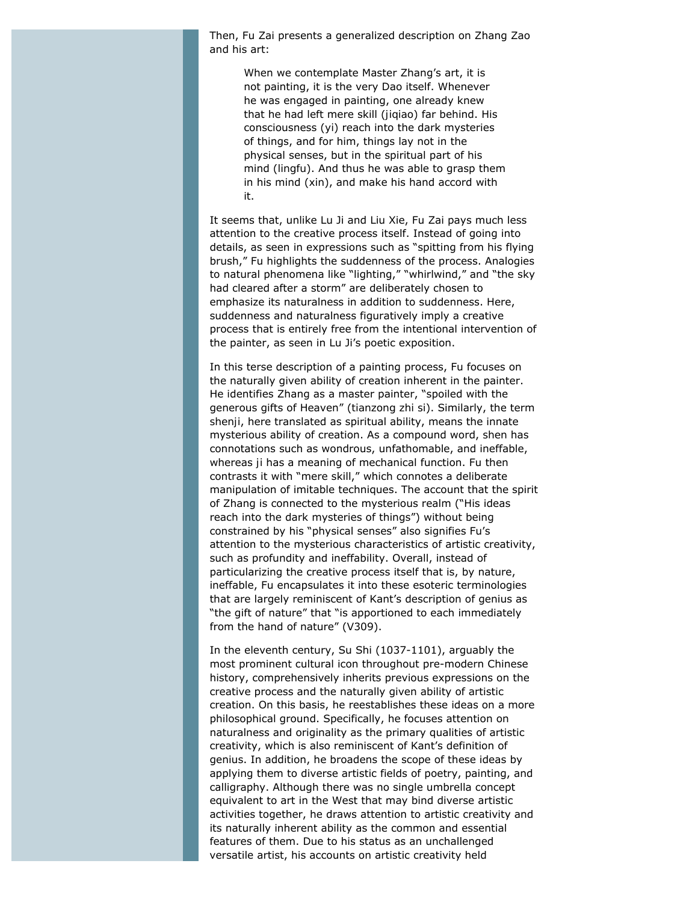Then, Fu Zai presents a generalized description on Zhang Zao and his art:

When we contemplate Master Zhang's art, it is not painting, it is the very Dao itself. Whenever he was engaged in painting, one already knew that he had left mere skill (*jiqiao*) far behind. His consciousness (*yi*) reach into the dark mysteries of things, and for him, things lay not in the physical senses, but in the spiritual part of his mind (*lingfu*). And thus he was able to grasp them in his mind (*xin*), and make his hand accord with it.

It seems that, unlike Lu Ji and Liu Xie, Fu Zai pays much less attention to the creative process itself. Instead of going into details, as seen in expressions such as "spitting from his flying brush," Fu highlights the suddenness of the process. Analogies to natural phenomena like "lighting," "whirlwind," and "the sky had cleared after a storm" are deliberately chosen to emphasize its naturalness in addition to suddenness. Here, suddenness and naturalness figuratively imply a creative process that is entirely free from the intentional intervention of the painter, as seen in Lu Ji's poetic exposition.

In this terse description of a painting process, Fu focuses on the naturally given ability of creation inherent in the painter. He identifies Zhang as a master painter, "spoiled with the generous gifts of Heaven" (*tianzong zhi si*). Similarly, the term *shenji*, here translated as spiritual ability, means the innate mysterious ability of creation. As a compound word, *shen* has connotations such as wondrous, unfathomable, and ineffable, whereas *ji* has a meaning of mechanical function. Fu then contrasts it with "mere skill," which connotes a deliberate manipulation of imitable techniques. The account that the spirit of Zhang is connected to the mysterious realm ("His ideas reach into the dark mysteries of things") without being constrained by his "physical senses" also signifies Fu's attention to the mysterious characteristics of artistic creativity, such as profundity and ineffability. Overall, instead of particularizing the creative process itself that is, by nature, ineffable, Fu encapsulates it into these esoteric terminologies that are largely reminiscent of Kant's description of genius as "the gift of nature" that "is apportioned to each immediately from the hand of nature" (V309).

In the eleventh century, Su Shi (1037-1101), arguably the most prominent cultural icon throughout pre-modern Chinese history, comprehensively inherits previous expressions on the creative process and the naturally given ability of artistic creation. On this basis, he reestablishes these ideas on a more philosophical ground. Specifically, he focuses attention on naturalness and originality as the primary qualities of artistic creativity, which is also reminiscent of Kant's definition of genius. In addition, he broadens the scope of these ideas by applying them to diverse artistic fields of poetry, painting, and calligraphy. Although there was no single umbrella concept equivalent to art in the West that may bind diverse artistic activities together, he draws attention to artistic creativity and its naturally inherent ability as the common and essential features of them. Due to his status as an unchallenged versatile artist, his accounts on artistic creativity held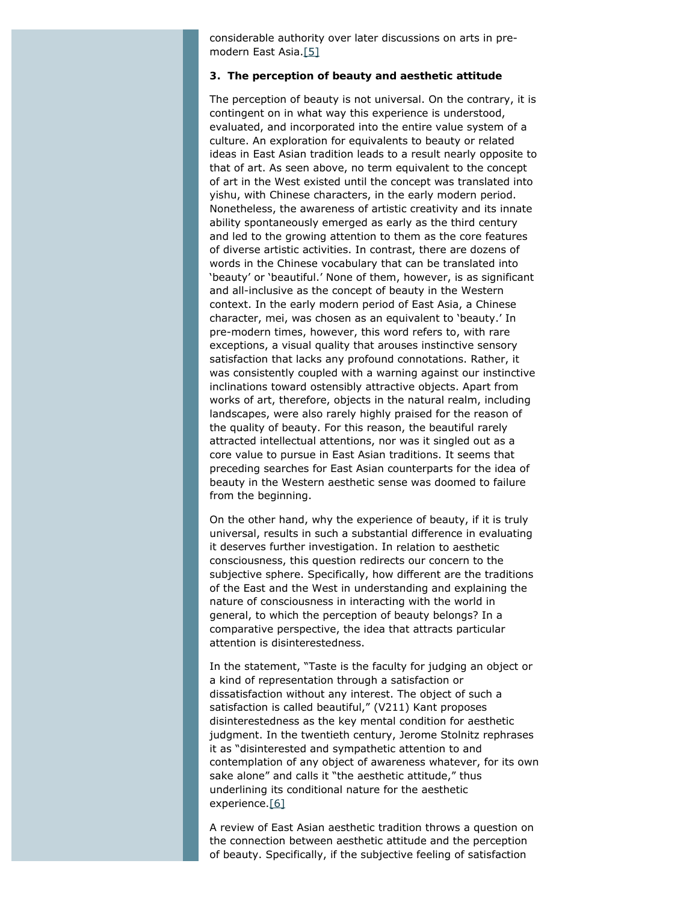considerable authority over later discussions on arts in premodern East Asia[.\[5\]](#page-12-4)

#### <span id="page-7-0"></span>**3. The perception of beauty and aesthetic attitude**

The perception of beauty is not universal. On the contrary, it is contingent on in what way this experience is understood, evaluated, and incorporated into the entire value system of a culture. An exploration for equivalents to beauty or related ideas in East Asian tradition leads to a result nearly opposite to that of art. As seen above, no term equivalent to the concept of art in the West existed until the concept was translated into *yishu*, with Chinese characters, in the early modern period. Nonetheless, the awareness of artistic creativity and its innate ability spontaneously emerged as early as the third century and led to the growing attention to them as the core features of diverse artistic activities. In contrast, there are dozens of words in the Chinese vocabulary that can be translated into 'beauty' or 'beautiful.' None of them, however, is as significant and all-inclusive as the concept of beauty in the Western context. In the early modern period of East Asia, a Chinese character, *mei*, was chosen as an equivalent to 'beauty.' In pre-modern times, however, this word refers to, with rare exceptions, a visual quality that arouses instinctive sensory satisfaction that lacks any profound connotations. Rather, it was consistently coupled with a warning against our instinctive inclinations toward ostensibly attractive objects. Apart from works of art, therefore, objects in the natural realm, including landscapes, were also rarely highly praised for the reason of the quality of beauty. For this reason, the beautiful rarely attracted intellectual attentions, nor was it singled out as a core value to pursue in East Asian traditions. It seems that preceding searches for East Asian counterparts for the idea of beauty in the Western aesthetic sense was doomed to failure from the beginning.

On the other hand, why the experience of beauty, if it is truly universal, results in such a substantial difference in evaluating it deserves further investigation. In relation to aesthetic consciousness, this question redirects our concern to the subjective sphere. Specifically, how different are the traditions of the East and the West in understanding and explaining the nature of consciousness in interacting with the world in general, to which the perception of beauty belongs? In a comparative perspective, the idea that attracts particular attention is disinterestedness.

In the statement, "Taste is the faculty for judging an object or a kind of representation through a satisfaction or dissatisfaction without any interest. The object of such a satisfaction is called beautiful," (V211) Kant proposes disinterestedness as the key mental condition for aesthetic judgment. In the twentieth century, Jerome Stolnitz rephrases it as "disinterested and sympathetic attention to and contemplation of any object of awareness whatever, for its own sake alone" and calls it "the aesthetic attitude," thus underlining its conditional nature for the aesthetic experience[.\[6\]](#page-12-5)

<span id="page-7-1"></span>A review of East Asian aesthetic tradition throws a question on the connection between aesthetic attitude and the perception of beauty. Specifically, if the subjective feeling of satisfaction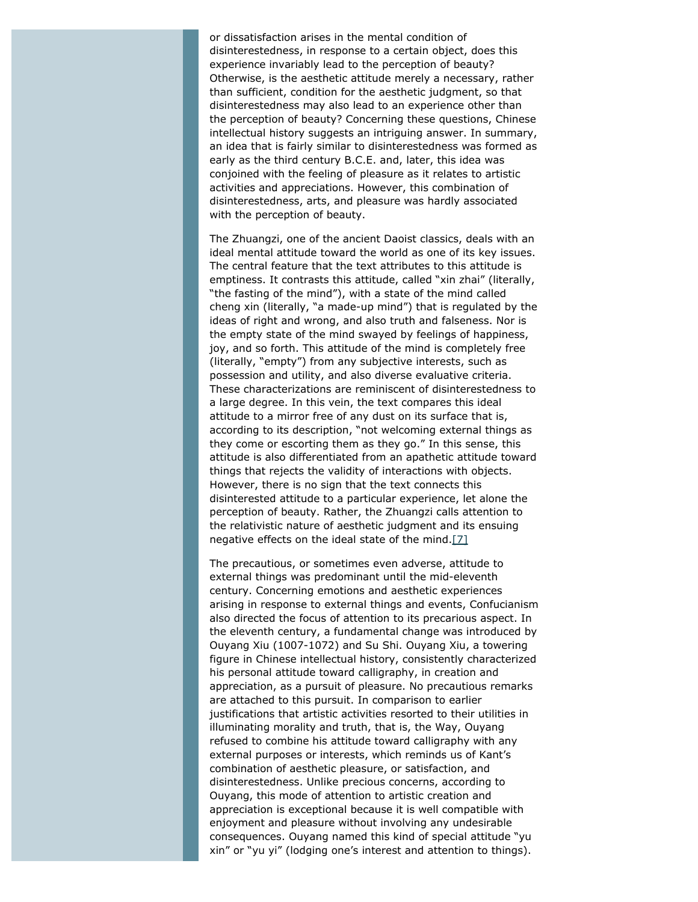or dissatisfaction arises in the mental condition of disinterestedness, in response to a certain object, does this experience invariably lead to the perception of beauty? Otherwise, is the aesthetic attitude merely a necessary, rather than sufficient, condition for the aesthetic judgment, so that disinterestedness may also lead to an experience other than the perception of beauty? Concerning these questions, Chinese intellectual history suggests an intriguing answer. In summary, an idea that is fairly similar to disinterestedness was formed as early as the third century B.C.E. and, later, this idea was conjoined with the feeling of pleasure as it relates to artistic activities and appreciations. However, this combination of disinterestedness, arts, and pleasure was hardly associated with the perception of beauty.

The *Zhuangzi*, one of the ancient Daoist classics, deals with an ideal mental attitude toward the world as one of its key issues. The central feature that the text attributes to this attitude is emptiness. It contrasts this attitude, called "*xin zhai*" (literally, "the fasting of the mind"), with a state of the mind called *cheng xin* (literally, "a made-up mind") that is regulated by the ideas of right and wrong, and also truth and falseness. Nor is the empty state of the mind swayed by feelings of happiness, joy, and so forth. This attitude of the mind is completely free (literally, "empty") from any subjective interests, such as possession and utility, and also diverse evaluative criteria. These characterizations are reminiscent of disinterestedness to a large degree. In this vein, the text compares this ideal attitude to a mirror free of any dust on its surface that is, according to its description, "not welcoming external things as they come or escorting them as they go." In this sense, this attitude is also differentiated from an apathetic attitude toward things that rejects the validity of interactions with objects. However, there is no sign that the text connects this disinterested attitude to a particular experience, let alone the perception of beauty. Rather, the *Zhuangzi* calls attention to the relativistic nature of aesthetic judgment and its ensuing negative effects on the ideal state of the mind[.\[7\]](#page-13-0)

<span id="page-8-0"></span>The precautious, or sometimes even adverse, attitude to external things was predominant until the mid-eleventh century. Concerning emotions and aesthetic experiences arising in response to external things and events, Confucianism also directed the focus of attention to its precarious aspect. In the eleventh century, a fundamental change was introduced by Ouyang Xiu (1007-1072) and Su Shi. Ouyang Xiu, a towering figure in Chinese intellectual history, consistently characterized his personal attitude toward calligraphy, in creation and appreciation, as a pursuit of pleasure. No precautious remarks are attached to this pursuit. In comparison to earlier justifications that artistic activities resorted to their utilities in illuminating morality and truth, that is, the Way, Ouyang refused to combine his attitude toward calligraphy with any external purposes or interests, which reminds us of Kant's combination of aesthetic pleasure, or satisfaction, and disinterestedness. Unlike precious concerns, according to Ouyang, this mode of attention to artistic creation and appreciation is exceptional because it is well compatible with enjoyment and pleasure without involving any undesirable consequences. Ouyang named this kind of special attitude "*yu xin*" or "*yu yi*" (lodging one's interest and attention to things).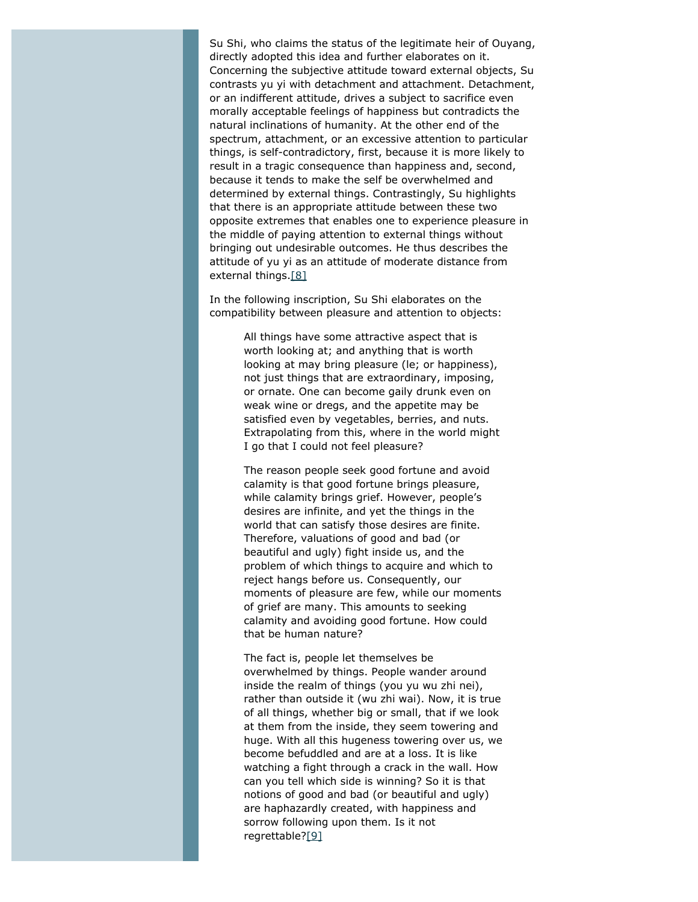Su Shi, who claims the status of the legitimate heir of Ouyang, directly adopted this idea and further elaborates on it. Concerning the subjective attitude toward external objects, Su contrasts *yu yi* with detachment and attachment. Detachment, or an indifferent attitude, drives a subject to sacrifice even morally acceptable feelings of happiness but contradicts the natural inclinations of humanity. At the other end of the spectrum, attachment, or an excessive attention to particular things, is self-contradictory, first, because it is more likely to result in a tragic consequence than happiness and, second, because it tends to make the self be overwhelmed and determined by external things. Contrastingly, Su highlights that there is an appropriate attitude between these two opposite extremes that enables one to experience pleasure in the middle of paying attention to external things without bringing out undesirable outcomes. He thus describes the attitude of *yu yi* as an attitude of moderate distance from external things[.\[8\]](#page-13-1)

<span id="page-9-0"></span>In the following inscription, Su Shi elaborates on the compatibility between pleasure and attention to objects:

> All things have some attractive aspect that is worth looking at; and anything that is worth looking at may bring pleasure (*le*; or happiness), not just things that are extraordinary, imposing, or ornate. One can become gaily drunk even on weak wine or dregs, and the appetite may be satisfied even by vegetables, berries, and nuts. Extrapolating from this, where in the world might I go that I could not feel pleasure?

> The reason people seek good fortune and avoid calamity is that good fortune brings pleasure, while calamity brings grief. However, people's desires are infinite, and yet the things in the world that can satisfy those desires are finite. Therefore, valuations of good and bad (or beautiful and ugly) fight inside us, and the problem of which things to acquire and which to reject hangs before us. Consequently, our moments of pleasure are few, while our moments of grief are many. This amounts to seeking calamity and avoiding good fortune. How could that be human nature?

> <span id="page-9-1"></span>The fact is, people let themselves be overwhelmed by things. People wander around inside the realm of things (*you yu wu zhi nei*), rather than outside it (*wu zhi wai*). Now, it is true of all things, whether big or small, that if we look at them from the inside, they seem towering and huge. With all this hugeness towering over us, we become befuddled and are at a loss. It is like watching a fight through a crack in the wall. How can you tell which side is winning? So it is that notions of good and bad (or beautiful and ugly) are haphazardly created, with happiness and sorrow following upon them. Is it not regrettable?[\[9\]](#page-13-2)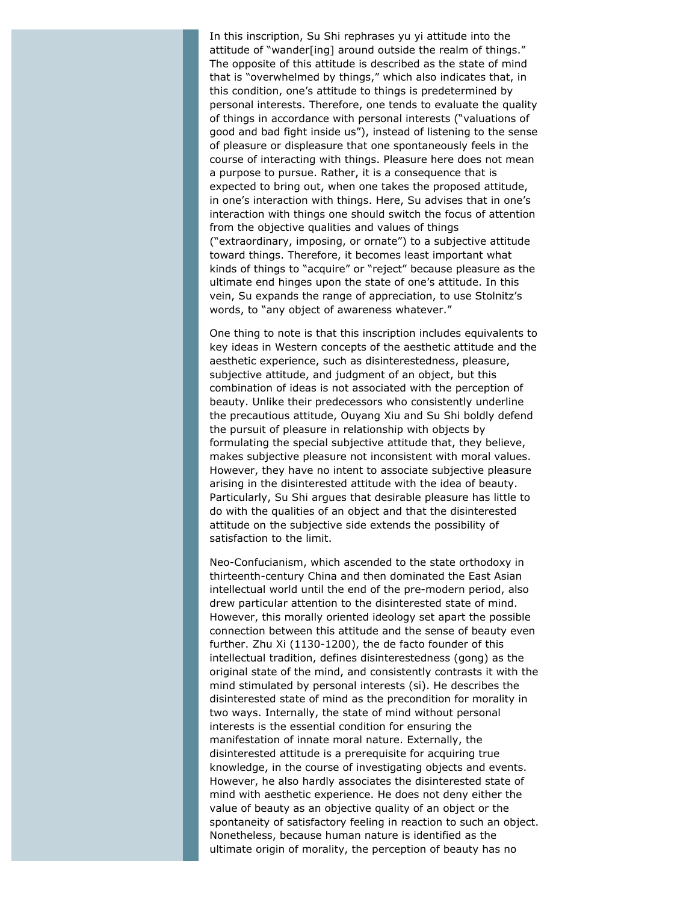In this inscription, Su Shi rephrases *yu yi* attitude into the attitude of "wander[ing] around outside the realm of things." The opposite of this attitude is described as the state of mind that is "overwhelmed by things," which also indicates that, in this condition, one's attitude to things is predetermined by personal interests. Therefore, one tends to evaluate the quality of things in accordance with personal interests ("valuations of good and bad fight inside us"), instead of listening to the sense of pleasure or displeasure that one spontaneously feels in the course of interacting with things. Pleasure here does not mean a purpose to pursue. Rather, it is a consequence that is expected to bring out, when one takes the proposed attitude, in one's interaction with things. Here, Su advises that in one's interaction with things one should switch the focus of attention from the objective qualities and values of things ("extraordinary, imposing, or ornate") to a subjective attitude toward things. Therefore, it becomes least important what kinds of things to "acquire" or "reject" because pleasure as the ultimate end hinges upon the state of one's attitude. In this vein, Su expands the range of appreciation, to use Stolnitz's words, to "any object of awareness whatever."

One thing to note is that this inscription includes equivalents to key ideas in Western concepts of the aesthetic attitude and the aesthetic experience, such as disinterestedness, pleasure, subjective attitude, and judgment of an object, but this combination of ideas is not associated with the perception of beauty. Unlike their predecessors who consistently underline the precautious attitude, Ouyang Xiu and Su Shi boldly defend the pursuit of pleasure in relationship with objects by formulating the special subjective attitude that, they believe, makes subjective pleasure not inconsistent with moral values. However, they have no intent to associate subjective pleasure arising in the disinterested attitude with the idea of beauty. Particularly, Su Shi argues that desirable pleasure has little to do with the qualities of an object and that the disinterested attitude on the subjective side extends the possibility of satisfaction to the limit.

Neo-Confucianism, which ascended to the state orthodoxy in thirteenth-century China and then dominated the East Asian intellectual world until the end of the pre-modern period, also drew particular attention to the disinterested state of mind. However, this morally oriented ideology set apart the possible connection between this attitude and the sense of beauty even further. Zhu Xi (1130-1200), the *de facto* founder of this intellectual tradition, defines disinterestedness (*gong*) as the original state of the mind, and consistently contrasts it with the mind stimulated by personal interests (*si*). He describes the disinterested state of mind as the precondition for morality in two ways. Internally, the state of mind without personal interests is the essential condition for ensuring the manifestation of innate moral nature. Externally, the disinterested attitude is a prerequisite for acquiring true knowledge, in the course of investigating objects and events. However, he also hardly associates the disinterested state of mind with aesthetic experience. He does not deny either the value of beauty as an objective quality of an object or the spontaneity of satisfactory feeling in reaction to such an object. Nonetheless, because human nature is identified as the ultimate origin of morality, the perception of beauty has no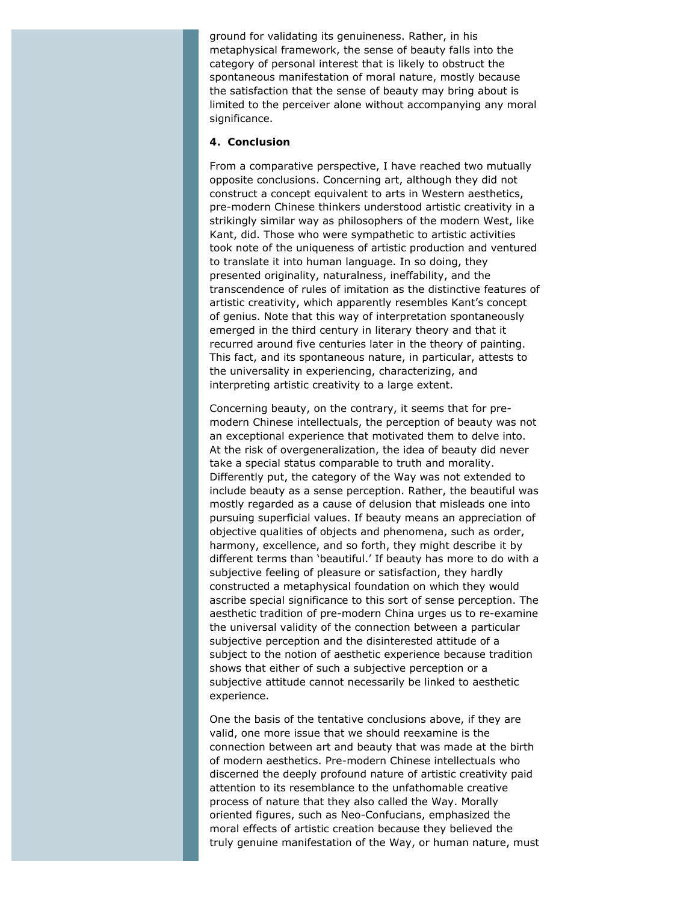ground for validating its genuineness. Rather, in his metaphysical framework, the sense of beauty falls into the category of personal interest that is likely to obstruct the spontaneous manifestation of moral nature, mostly because the satisfaction that the sense of beauty may bring about is limited to the perceiver alone without accompanying any moral significance.

#### **4. Conclusion**

From a comparative perspective, I have reached two mutually opposite conclusions. Concerning art, although they did not construct a concept equivalent to arts in Western aesthetics, pre-modern Chinese thinkers understood artistic creativity in a strikingly similar way as philosophers of the modern West, like Kant, did. Those who were sympathetic to artistic activities took note of the uniqueness of artistic production and ventured to translate it into human language. In so doing, they presented originality, naturalness, ineffability, and the transcendence of rules of imitation as the distinctive features of artistic creativity, which apparently resembles Kant's concept of genius. Note that this way of interpretation spontaneously emerged in the third century in literary theory and that it recurred around five centuries later in the theory of painting. This fact, and its spontaneous nature, in particular, attests to the universality in experiencing, characterizing, and interpreting artistic creativity to a large extent.

Concerning beauty, on the contrary, it seems that for premodern Chinese intellectuals, the perception of beauty was not an exceptional experience that motivated them to delve into. At the risk of overgeneralization, the idea of beauty did never take a special status comparable to truth and morality. Differently put, the category of the Way was not extended to include beauty as a sense perception. Rather, the beautiful was mostly regarded as a cause of delusion that misleads one into pursuing superficial values. If beauty means an appreciation of objective qualities of objects and phenomena, such as order, harmony, excellence, and so forth, they might describe it by different terms than 'beautiful.' If beauty has more to do with a subjective feeling of pleasure or satisfaction, they hardly constructed a metaphysical foundation on which they would ascribe special significance to this sort of sense perception. The aesthetic tradition of pre-modern China urges us to re-examine the universal validity of the connection between a particular subjective perception and the disinterested attitude of a subject to the notion of aesthetic experience because tradition shows that either of such a subjective perception or a subjective attitude cannot necessarily be linked to aesthetic experience.

One the basis of the tentative conclusions above, if they are valid, one more issue that we should reexamine is the connection between art and beauty that was made at the birth of modern aesthetics. Pre-modern Chinese intellectuals who discerned the deeply profound nature of artistic creativity paid attention to its resemblance to the unfathomable creative process of nature that they also called the Way. Morally oriented figures, such as Neo-Confucians, emphasized the moral effects of artistic creation because they believed the truly genuine manifestation of the Way, or human nature, must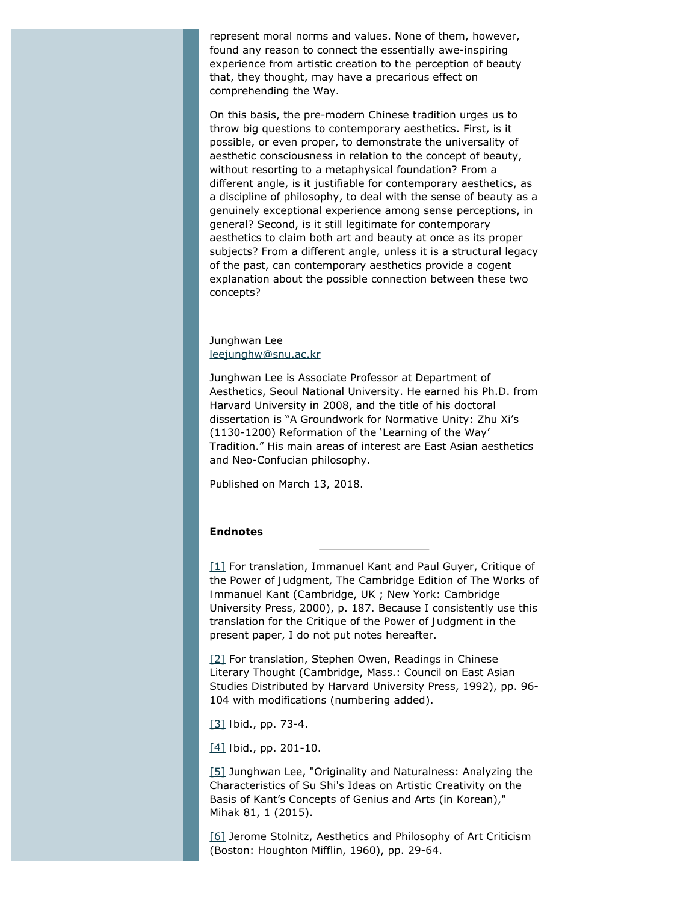represent moral norms and values. None of them, however, found any reason to connect the essentially awe-inspiring experience from artistic creation to the perception of beauty that, they thought, may have a precarious effect on comprehending the Way.

On this basis, the pre-modern Chinese tradition urges us to throw big questions to contemporary aesthetics. First, is it possible, or even proper, to demonstrate the universality of aesthetic consciousness in relation to the concept of beauty, without resorting to a metaphysical foundation? From a different angle, is it justifiable for contemporary aesthetics, as a discipline of philosophy, to deal with the sense of beauty as a genuinely exceptional experience among sense perceptions, in general? Second, is it still legitimate for contemporary aesthetics to claim both art and beauty at once as its proper subjects? From a different angle, unless it is a structural legacy of the past, can contemporary aesthetics provide a cogent explanation about the possible connection between these two concepts?

Junghwan Lee [leejunghw@snu.ac.kr](mailto:leejunghw@snu.ac.kr)

Junghwan Lee is Associate Professor at Department of Aesthetics, Seoul National University. He earned his Ph.D. from Harvard University in 2008, and the title of his doctoral dissertation is "A Groundwork for Normative Unity: Zhu Xi's (1130-1200) Reformation of the 'Learning of the Way' Tradition." His main areas of interest are East Asian aesthetics and Neo-Confucian philosophy.

Published on March 13, 2018.

#### **Endnotes**

<span id="page-12-0"></span>[\[1\]](#page-3-0) For translation, Immanuel Kant and Paul Guyer, *Critique of the Power of Judgment*, The Cambridge Edition of *The Works of Immanuel Kant* (Cambridge, UK ; New York: Cambridge University Press, 2000), p. 187. Because I consistently use this translation for the *Critique of the Power of Judgment* in the present paper, I do not put notes hereafter.

<span id="page-12-1"></span>[\[2\]](#page-4-0) For translation, Stephen Owen, *Readings in Chinese Literary Thought* (Cambridge, Mass.: Council on East Asian Studies Distributed by Harvard University Press, 1992), pp. 96- 104 with modifications (numbering added).

<span id="page-12-2"></span>[\[3\]](#page-4-1) *Ibid*., pp. 73-4.

<span id="page-12-3"></span>[\[4\]](#page-5-0) *Ibid*., pp. 201-10.

<span id="page-12-4"></span>[\[5\]](#page-7-0) Junghwan Lee, "Originality and Naturalness: Analyzing the Characteristics of Su Shi's Ideas on Artistic Creativity on the Basis of Kant's Concepts of Genius and Arts (in Korean)," *Mihak* 81, 1 (2015).

<span id="page-12-5"></span>[\[6\]](#page-7-1) Jerome Stolnitz, *Aesthetics and Philosophy of Art Criticism* (Boston: Houghton Mifflin, 1960), pp. 29-64.